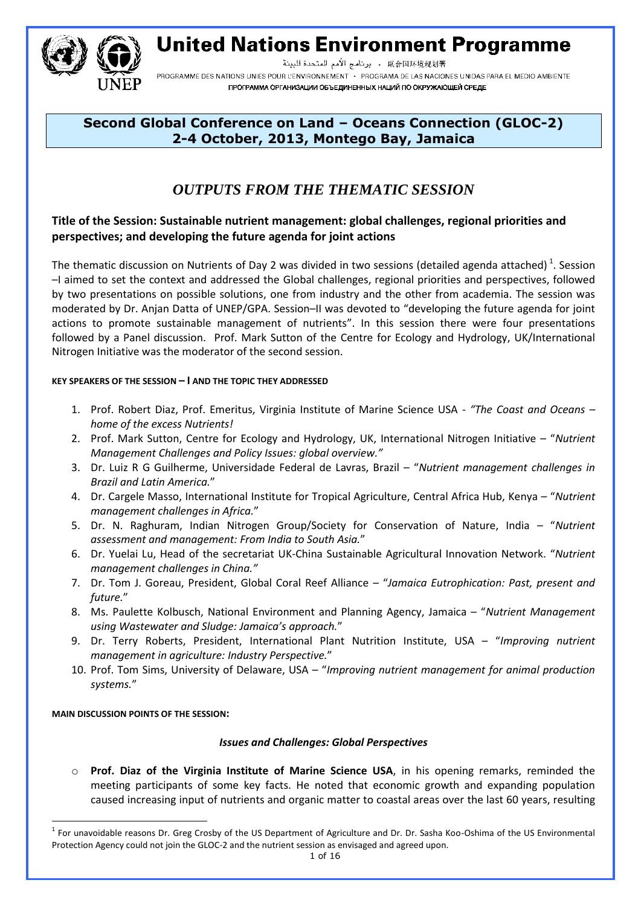**United Nations Environment Programme** 



联合国环境规划署 . برنامج الأمم المتحدة للبيئة PROGRAMME DES NATIONS UNIES POUR L'ENVIRONNEMENT · PROGRAMA DE LAS NACIONES UNIDAS PARA EL MEDIO AMBIENTE ПРОГРАММА ОРГАНИЗАЦИИ ОБЪЕДИНЕННЫХ НАЦИЙ ПО ОКРУЖАЮЩЕЙ СРЕДЕ

### **Second Global Conference on Land – Oceans Connection (GLOC-2) 2-4 October, 2013, Montego Bay, Jamaica**

## *OUTPUTS FROM THE THEMATIC SESSION*

#### **Title of the Session: Sustainable nutrient management: global challenges, regional priorities and perspectives; and developing the future agenda for joint actions**

The thematic discussion on Nutrients of Day 2 was divided in two sessions (detailed agenda attached)<sup>1</sup>. Session –I aimed to set the context and addressed the Global challenges, regional priorities and perspectives, followed by two presentations on possible solutions, one from industry and the other from academia. The session was moderated by Dr. Anjan Datta of UNEP/GPA. Session–II was devoted to "developing the future agenda for joint actions to promote sustainable management of nutrients". In this session there were four presentations followed by a Panel discussion. Prof. Mark Sutton of the Centre for Ecology and Hydrology, UK/International Nitrogen Initiative was the moderator of the second session.

#### **KEY SPEAKERS OF THE SESSION – I AND THE TOPIC THEY ADDRESSED**

- 1. Prof. Robert Diaz, Prof. Emeritus, Virginia Institute of Marine Science USA *"The Coast and Oceans – home of the excess Nutrients!*
- 2. Prof. Mark Sutton, Centre for Ecology and Hydrology, UK, International Nitrogen Initiative "*Nutrient Management Challenges and Policy Issues: global overview."*
- 3. Dr. Luiz R G Guilherme, Universidade Federal de Lavras, Brazil "*Nutrient management challenges in Brazil and Latin America.*"
- 4. Dr. Cargele Masso, International Institute for Tropical Agriculture, Central Africa Hub, Kenya "*Nutrient management challenges in Africa.*"
- 5. Dr. N. Raghuram, Indian Nitrogen Group/Society for Conservation of Nature, India "*Nutrient assessment and management: From India to South Asia.*"
- 6. Dr. Yuelai Lu, Head of the secretariat UK-China Sustainable Agricultural Innovation Network. "*Nutrient management challenges in China."*
- 7. Dr. Tom J. Goreau, President, Global Coral Reef Alliance "*Jamaica Eutrophication: Past, present and future.*"
- 8. Ms. Paulette Kolbusch, National Environment and Planning Agency, Jamaica "*Nutrient Management using Wastewater and Sludge: Jamaica's approach.*"
- 9. Dr. Terry Roberts, President, International Plant Nutrition Institute, USA "*Improving nutrient management in agriculture: Industry Perspective.*"
- 10. Prof. Tom Sims, University of Delaware, USA "*Improving nutrient management for animal production systems.*"

#### **MAIN DISCUSSION POINTS OF THE SESSION:**

 $\overline{a}$ 

#### *Issues and Challenges: Global Perspectives*

o **Prof. Diaz of the Virginia Institute of Marine Science USA**, in his opening remarks, reminded the meeting participants of some key facts. He noted that economic growth and expanding population caused increasing input of nutrients and organic matter to coastal areas over the last 60 years, resulting

<sup>&</sup>lt;sup>1</sup> For unavoidable reasons Dr. Greg Crosby of the US Department of Agriculture and Dr. Dr. Sasha Koo-Oshima of the US Environmental Protection Agency could not join the GLOC-2 and the nutrient session as envisaged and agreed upon.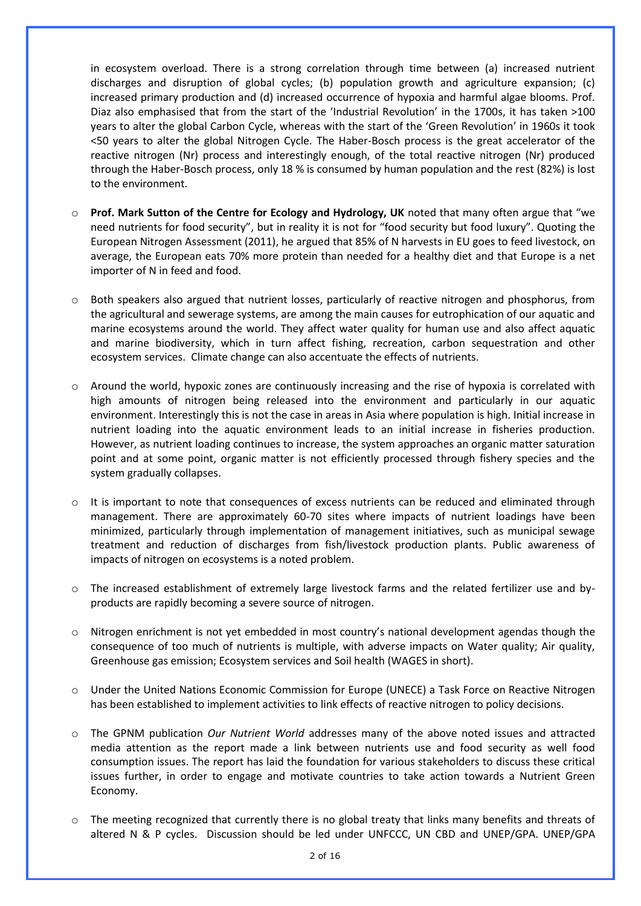in ecosystem overload. There is a strong correlation through time between (a) increased nutrient discharges and disruption of global cycles; (b) population growth and agriculture expansion; (c) increased primary production and (d) increased occurrence of hypoxia and harmful algae blooms. Prof. Diaz also emphasised that from the start of the 'Industrial Revolution' in the 1700s, it has taken >100 years to alter the global Carbon Cycle, whereas with the start of the 'Green Revolution' in 1960s it took <50 years to alter the global Nitrogen Cycle. The Haber-Bosch process is the great accelerator of the reactive nitrogen (Nr) process and interestingly enough, of the total reactive nitrogen (Nr) produced through the Haber-Bosch process, only 18 % is consumed by human population and the rest (82%) is lost to the environment.

- o **Prof. Mark Sutton of the Centre for Ecology and Hydrology, UK** noted that many often argue that "we need nutrients for food security", but in reality it is not for "food security but food luxury". Quoting the European Nitrogen Assessment (2011), he argued that 85% of N harvests in EU goes to feed livestock, on average, the European eats 70% more protein than needed for a healthy diet and that Europe is a net importer of N in feed and food.
- o Both speakers also argued that nutrient losses, particularly of reactive nitrogen and phosphorus, from the agricultural and sewerage systems, are among the main causes for eutrophication of our aquatic and marine ecosystems around the world. They affect water quality for human use and also affect aquatic and marine biodiversity, which in turn affect fishing, recreation, carbon sequestration and other ecosystem services. Climate change can also accentuate the effects of nutrients.
- $\circ$  Around the world, hypoxic zones are continuously increasing and the rise of hypoxia is correlated with high amounts of nitrogen being released into the environment and particularly in our aquatic environment. Interestingly this is not the case in areas in Asia where population is high. Initial increase in nutrient loading into the aquatic environment leads to an initial increase in fisheries production. However, as nutrient loading continues to increase, the system approaches an organic matter saturation point and at some point, organic matter is not efficiently processed through fishery species and the system gradually collapses.
- o It is important to note that consequences of excess nutrients can be reduced and eliminated through management. There are approximately 60-70 sites where impacts of nutrient loadings have been minimized, particularly through implementation of management initiatives, such as municipal sewage treatment and reduction of discharges from fish/livestock production plants. Public awareness of impacts of nitrogen on ecosystems is a noted problem.
- o The increased establishment of extremely large livestock farms and the related fertilizer use and byproducts are rapidly becoming a severe source of nitrogen.
- o Nitrogen enrichment is not yet embedded in most country's national development agendas though the consequence of too much of nutrients is multiple, with adverse impacts on Water quality; Air quality, Greenhouse gas emission; Ecosystem services and Soil health (WAGES in short).
- o Under the United Nations Economic Commission for Europe (UNECE) a Task Force on Reactive Nitrogen has been established to implement activities to link effects of reactive nitrogen to policy decisions.
- o The GPNM publication *Our Nutrient World* addresses many of the above noted issues and attracted media attention as the report made a link between nutrients use and food security as well food consumption issues. The report has laid the foundation for various stakeholders to discuss these critical issues further, in order to engage and motivate countries to take action towards a Nutrient Green Economy.
- o The meeting recognized that currently there is no global treaty that links many benefits and threats of altered N & P cycles. Discussion should be led under UNFCCC, UN CBD and UNEP/GPA. UNEP/GPA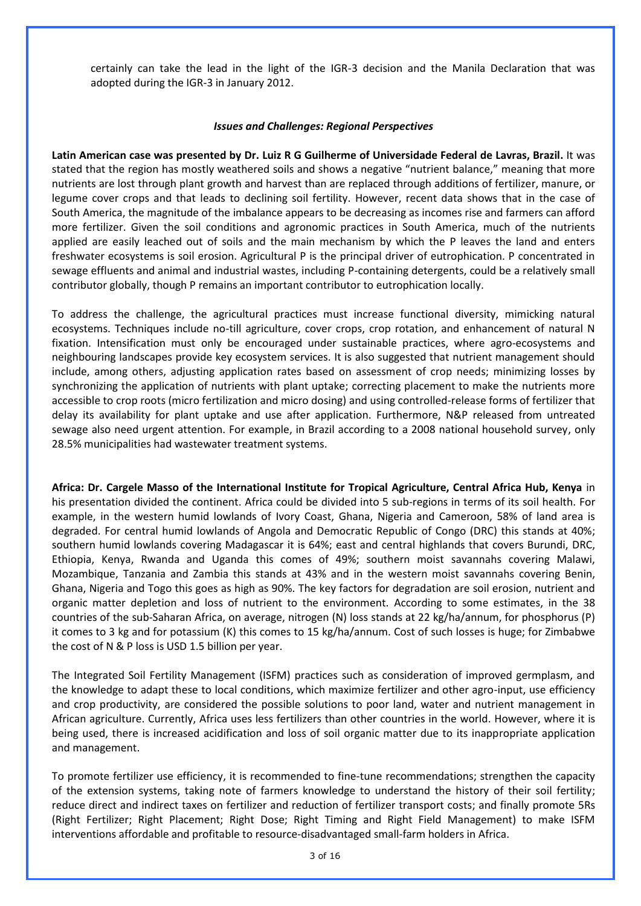certainly can take the lead in the light of the IGR-3 decision and the Manila Declaration that was adopted during the IGR-3 in January 2012.

#### *Issues and Challenges: Regional Perspectives*

**Latin American case was presented by Dr. Luiz R G Guilherme of Universidade Federal de Lavras, Brazil.** It was stated that the region has mostly weathered soils and shows a negative "nutrient balance," meaning that more nutrients are lost through plant growth and harvest than are replaced through additions of fertilizer, manure, or legume cover crops and that leads to declining soil fertility. However, recent data shows that in the case of South America, the magnitude of the imbalance appears to be decreasing as incomes rise and farmers can afford more fertilizer. Given the soil conditions and agronomic practices in South America, much of the nutrients applied are easily leached out of soils and the main mechanism by which the P leaves the land and enters freshwater ecosystems is soil erosion. Agricultural P is the principal driver of eutrophication. P concentrated in sewage effluents and animal and industrial wastes, including P-containing detergents, could be a relatively small contributor globally, though P remains an important contributor to eutrophication locally.

To address the challenge, the agricultural practices must increase functional diversity, mimicking natural ecosystems. Techniques include no-till agriculture, cover crops, crop rotation, and enhancement of natural N fixation. Intensification must only be encouraged under sustainable practices, where agro-ecosystems and neighbouring landscapes provide key ecosystem services. It is also suggested that nutrient management should include, among others, adjusting application rates based on assessment of crop needs; minimizing losses by synchronizing the application of nutrients with plant uptake; correcting placement to make the nutrients more accessible to crop roots (micro fertilization and micro dosing) and using controlled-release forms of fertilizer that delay its availability for plant uptake and use after application. Furthermore, N&P released from untreated sewage also need urgent attention. For example, in Brazil according to a 2008 national household survey, only 28.5% municipalities had wastewater treatment systems.

**Africa: Dr. Cargele Masso of the International Institute for Tropical Agriculture, Central Africa Hub, Kenya** in his presentation divided the continent. Africa could be divided into 5 sub-regions in terms of its soil health. For example, in the western humid lowlands of Ivory Coast, Ghana, Nigeria and Cameroon, 58% of land area is degraded. For central humid lowlands of Angola and Democratic Republic of Congo (DRC) this stands at 40%; southern humid lowlands covering Madagascar it is 64%; east and central highlands that covers Burundi, DRC, Ethiopia, Kenya, Rwanda and Uganda this comes of 49%; southern moist savannahs covering Malawi, Mozambique, Tanzania and Zambia this stands at 43% and in the western moist savannahs covering Benin, Ghana, Nigeria and Togo this goes as high as 90%. The key factors for degradation are soil erosion, nutrient and organic matter depletion and loss of nutrient to the environment. According to some estimates, in the 38 countries of the sub-Saharan Africa, on average, nitrogen (N) loss stands at 22 kg/ha/annum, for phosphorus (P) it comes to 3 kg and for potassium (K) this comes to 15 kg/ha/annum. Cost of such losses is huge; for Zimbabwe the cost of N & P loss is USD 1.5 billion per year.

The Integrated Soil Fertility Management (ISFM) practices such as consideration of improved germplasm, and the knowledge to adapt these to local conditions, which maximize fertilizer and other agro-input, use efficiency and crop productivity, are considered the possible solutions to poor land, water and nutrient management in African agriculture. Currently, Africa uses less fertilizers than other countries in the world. However, where it is being used, there is increased acidification and loss of soil organic matter due to its inappropriate application and management.

To promote fertilizer use efficiency, it is recommended to fine-tune recommendations; strengthen the capacity of the extension systems, taking note of farmers knowledge to understand the history of their soil fertility; reduce direct and indirect taxes on fertilizer and reduction of fertilizer transport costs; and finally promote 5Rs (Right Fertilizer; Right Placement; Right Dose; Right Timing and Right Field Management) to make ISFM interventions affordable and profitable to resource-disadvantaged small-farm holders in Africa.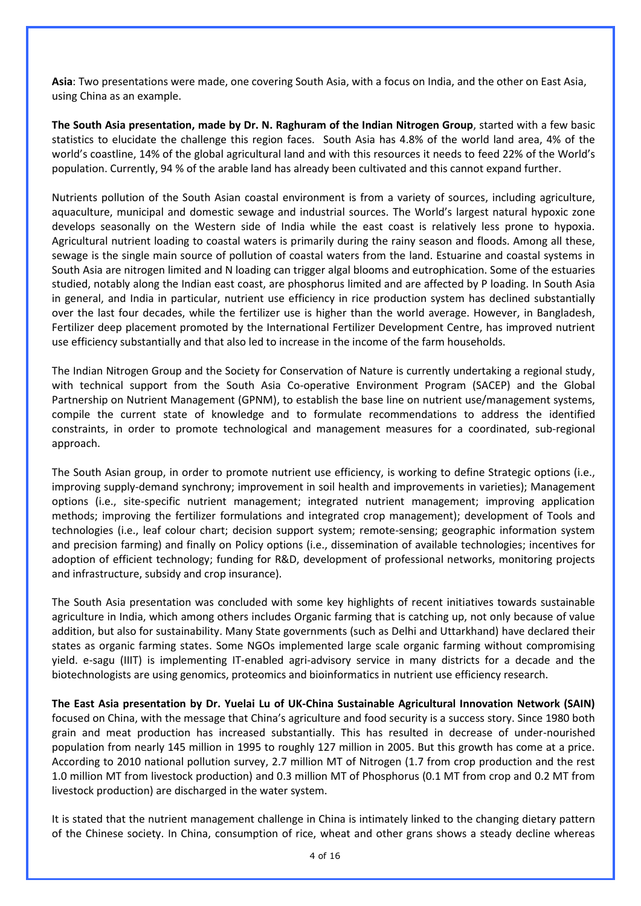**Asia**: Two presentations were made, one covering South Asia, with a focus on India, and the other on East Asia, using China as an example.

**The South Asia presentation, made by Dr. N. Raghuram of the Indian Nitrogen Group**, started with a few basic statistics to elucidate the challenge this region faces. South Asia has 4.8% of the world land area, 4% of the world's coastline, 14% of the global agricultural land and with this resources it needs to feed 22% of the World's population. Currently, 94 % of the arable land has already been cultivated and this cannot expand further.

Nutrients pollution of the South Asian coastal environment is from a variety of sources, including agriculture, aquaculture, municipal and domestic sewage and industrial sources. The World's largest natural hypoxic zone develops seasonally on the Western side of India while the east coast is relatively less prone to hypoxia. Agricultural nutrient loading to coastal waters is primarily during the rainy season and floods. Among all these, sewage is the single main source of pollution of coastal waters from the land. Estuarine and coastal systems in South Asia are nitrogen limited and N loading can trigger algal blooms and eutrophication. Some of the estuaries studied, notably along the Indian east coast, are phosphorus limited and are affected by P loading. In South Asia in general, and India in particular, nutrient use efficiency in rice production system has declined substantially over the last four decades, while the fertilizer use is higher than the world average. However, in Bangladesh, Fertilizer deep placement promoted by the International Fertilizer Development Centre, has improved nutrient use efficiency substantially and that also led to increase in the income of the farm households.

The Indian Nitrogen Group and the Society for Conservation of Nature is currently undertaking a regional study, with technical support from the South Asia Co-operative Environment Program (SACEP) and the Global Partnership on Nutrient Management (GPNM), to establish the base line on nutrient use/management systems, compile the current state of knowledge and to formulate recommendations to address the identified constraints, in order to promote technological and management measures for a coordinated, sub-regional approach.

The South Asian group, in order to promote nutrient use efficiency, is working to define Strategic options (i.e., improving supply-demand synchrony; improvement in soil health and improvements in varieties); Management options (i.e., site-specific nutrient management; integrated nutrient management; improving application methods; improving the fertilizer formulations and integrated crop management); development of Tools and technologies (i.e., leaf colour chart; decision support system; remote-sensing; geographic information system and precision farming) and finally on Policy options (i.e., dissemination of available technologies; incentives for adoption of efficient technology; funding for R&D, development of professional networks, monitoring projects and infrastructure, subsidy and crop insurance).

The South Asia presentation was concluded with some key highlights of recent initiatives towards sustainable agriculture in India, which among others includes Organic farming that is catching up, not only because of value addition, but also for sustainability. Many State governments (such as Delhi and Uttarkhand) have declared their states as organic farming states. Some NGOs implemented large scale organic farming without compromising yield. e-sagu (IIIT) is implementing IT-enabled agri-advisory service in many districts for a decade and the biotechnologists are using genomics, proteomics and bioinformatics in nutrient use efficiency research.

**The East Asia presentation by Dr. Yuelai Lu of UK-China Sustainable Agricultural Innovation Network (SAIN)**  focused on China, with the message that China's agriculture and food security is a success story. Since 1980 both grain and meat production has increased substantially. This has resulted in decrease of under-nourished population from nearly 145 million in 1995 to roughly 127 million in 2005. But this growth has come at a price. According to 2010 national pollution survey, 2.7 million MT of Nitrogen (1.7 from crop production and the rest 1.0 million MT from livestock production) and 0.3 million MT of Phosphorus (0.1 MT from crop and 0.2 MT from livestock production) are discharged in the water system.

It is stated that the nutrient management challenge in China is intimately linked to the changing dietary pattern of the Chinese society. In China, consumption of rice, wheat and other grans shows a steady decline whereas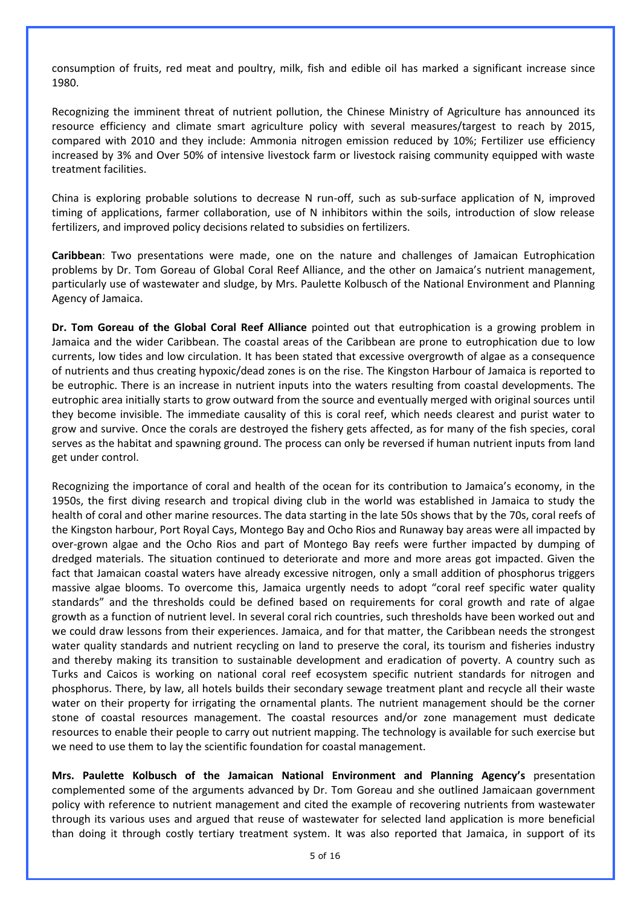consumption of fruits, red meat and poultry, milk, fish and edible oil has marked a significant increase since 1980.

Recognizing the imminent threat of nutrient pollution, the Chinese Ministry of Agriculture has announced its resource efficiency and climate smart agriculture policy with several measures/targest to reach by 2015, compared with 2010 and they include: Ammonia nitrogen emission reduced by 10%; Fertilizer use efficiency increased by 3% and Over 50% of intensive livestock farm or livestock raising community equipped with waste treatment facilities.

China is exploring probable solutions to decrease N run-off, such as sub-surface application of N, improved timing of applications, farmer collaboration, use of N inhibitors within the soils, introduction of slow release fertilizers, and improved policy decisions related to subsidies on fertilizers.

**Caribbean**: Two presentations were made, one on the nature and challenges of Jamaican Eutrophication problems by Dr. Tom Goreau of Global Coral Reef Alliance, and the other on Jamaica's nutrient management, particularly use of wastewater and sludge, by Mrs. Paulette Kolbusch of the National Environment and Planning Agency of Jamaica.

**Dr. Tom Goreau of the Global Coral Reef Alliance** pointed out that eutrophication is a growing problem in Jamaica and the wider Caribbean. The coastal areas of the Caribbean are prone to eutrophication due to low currents, low tides and low circulation. It has been stated that excessive overgrowth of algae as a consequence of nutrients and thus creating hypoxic/dead zones is on the rise. The Kingston Harbour of Jamaica is reported to be eutrophic. There is an increase in nutrient inputs into the waters resulting from coastal developments. The eutrophic area initially starts to grow outward from the source and eventually merged with original sources until they become invisible. The immediate causality of this is coral reef, which needs clearest and purist water to grow and survive. Once the corals are destroyed the fishery gets affected, as for many of the fish species, coral serves as the habitat and spawning ground. The process can only be reversed if human nutrient inputs from land get under control.

Recognizing the importance of coral and health of the ocean for its contribution to Jamaica's economy, in the 1950s, the first diving research and tropical diving club in the world was established in Jamaica to study the health of coral and other marine resources. The data starting in the late 50s shows that by the 70s, coral reefs of the Kingston harbour, Port Royal Cays, Montego Bay and Ocho Rios and Runaway bay areas were all impacted by over-grown algae and the Ocho Rios and part of Montego Bay reefs were further impacted by dumping of dredged materials. The situation continued to deteriorate and more and more areas got impacted. Given the fact that Jamaican coastal waters have already excessive nitrogen, only a small addition of phosphorus triggers massive algae blooms. To overcome this, Jamaica urgently needs to adopt "coral reef specific water quality standards" and the thresholds could be defined based on requirements for coral growth and rate of algae growth as a function of nutrient level. In several coral rich countries, such thresholds have been worked out and we could draw lessons from their experiences. Jamaica, and for that matter, the Caribbean needs the strongest water quality standards and nutrient recycling on land to preserve the coral, its tourism and fisheries industry and thereby making its transition to sustainable development and eradication of poverty. A country such as Turks and Caicos is working on national coral reef ecosystem specific nutrient standards for nitrogen and phosphorus. There, by law, all hotels builds their secondary sewage treatment plant and recycle all their waste water on their property for irrigating the ornamental plants. The nutrient management should be the corner stone of coastal resources management. The coastal resources and/or zone management must dedicate resources to enable their people to carry out nutrient mapping. The technology is available for such exercise but we need to use them to lay the scientific foundation for coastal management.

**Mrs. Paulette Kolbusch of the Jamaican National Environment and Planning Agency's** presentation complemented some of the arguments advanced by Dr. Tom Goreau and she outlined Jamaicaan government policy with reference to nutrient management and cited the example of recovering nutrients from wastewater through its various uses and argued that reuse of wastewater for selected land application is more beneficial than doing it through costly tertiary treatment system. It was also reported that Jamaica, in support of its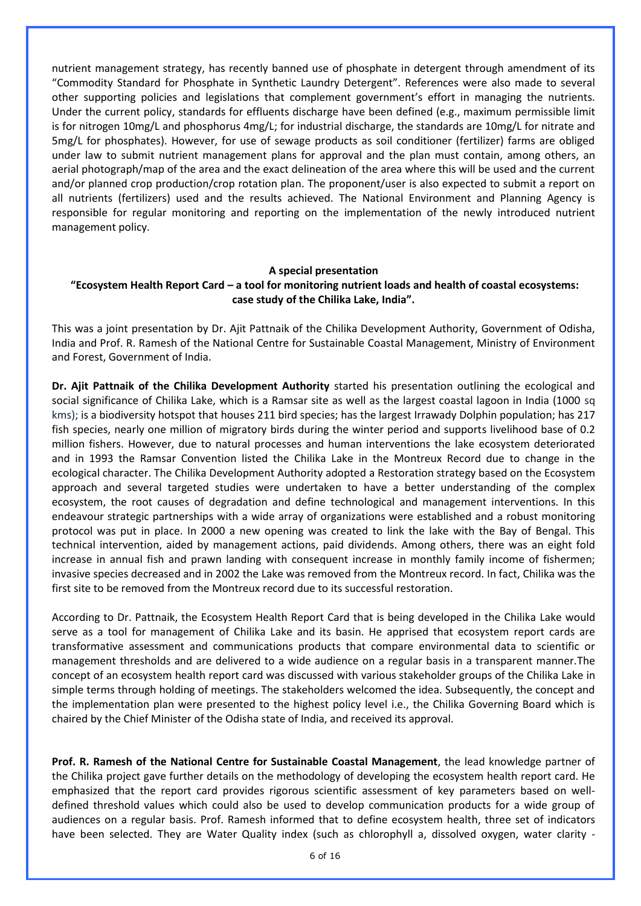nutrient management strategy, has recently banned use of phosphate in detergent through amendment of its "Commodity Standard for Phosphate in Synthetic Laundry Detergent". References were also made to several other supporting policies and legislations that complement government's effort in managing the nutrients. Under the current policy, standards for effluents discharge have been defined (e.g., maximum permissible limit is for nitrogen 10mg/L and phosphorus 4mg/L; for industrial discharge, the standards are 10mg/L for nitrate and 5mg/L for phosphates). However, for use of sewage products as soil conditioner (fertilizer) farms are obliged under law to submit nutrient management plans for approval and the plan must contain, among others, an aerial photograph/map of the area and the exact delineation of the area where this will be used and the current and/or planned crop production/crop rotation plan. The proponent/user is also expected to submit a report on all nutrients (fertilizers) used and the results achieved. The National Environment and Planning Agency is responsible for regular monitoring and reporting on the implementation of the newly introduced nutrient management policy.

#### **A special presentation "Ecosystem Health Report Card – a tool for monitoring nutrient loads and health of coastal ecosystems: case study of the Chilika Lake, India".**

This was a joint presentation by Dr. Ajit Pattnaik of the Chilika Development Authority, Government of Odisha, India and Prof. R. Ramesh of the National Centre for Sustainable Coastal Management, Ministry of Environment and Forest, Government of India.

**Dr. Ajit Pattnaik of the Chilika Development Authority** started his presentation outlining the ecological and social significance of Chilika Lake, which is a Ramsar site as well as the largest coastal lagoon in India (1000 sq kms); is a biodiversity hotspot that houses 211 bird species; has the largest Irrawady Dolphin population; has 217 fish species, nearly one million of migratory birds during the winter period and supports livelihood base of 0.2 million fishers. However, due to natural processes and human interventions the lake ecosystem deteriorated and in 1993 the Ramsar Convention listed the Chilika Lake in the Montreux Record due to change in the ecological character. The Chilika Development Authority adopted a Restoration strategy based on the Ecosystem approach and several targeted studies were undertaken to have a better understanding of the complex ecosystem, the root causes of degradation and define technological and management interventions. In this endeavour strategic partnerships with a wide array of organizations were established and a robust monitoring protocol was put in place. In 2000 a new opening was created to link the lake with the Bay of Bengal. This technical intervention, aided by management actions, paid dividends. Among others, there was an eight fold increase in annual fish and prawn landing with consequent increase in monthly family income of fishermen; invasive species decreased and in 2002 the Lake was removed from the Montreux record. In fact, Chilika was the first site to be removed from the Montreux record due to its successful restoration.

According to Dr. Pattnaik, the Ecosystem Health Report Card that is being developed in the Chilika Lake would serve as a tool for management of Chilika Lake and its basin. He apprised that ecosystem report cards are transformative assessment and communications products that compare environmental data to scientific or management thresholds and are delivered to a wide audience on a regular basis in a transparent manner.The concept of an ecosystem health report card was discussed with various stakeholder groups of the Chilika Lake in simple terms through holding of meetings. The stakeholders welcomed the idea. Subsequently, the concept and the implementation plan were presented to the highest policy level i.e., the Chilika Governing Board which is chaired by the Chief Minister of the Odisha state of India, and received its approval.

**Prof. R. Ramesh of the National Centre for Sustainable Coastal Management**, the lead knowledge partner of the Chilika project gave further details on the methodology of developing the ecosystem health report card. He emphasized that the report card provides rigorous scientific assessment of key parameters based on welldefined threshold values which could also be used to develop communication products for a wide group of audiences on a regular basis. Prof. Ramesh informed that to define ecosystem health, three set of indicators have been selected. They are Water Quality index (such as chlorophyll a, dissolved oxygen, water clarity -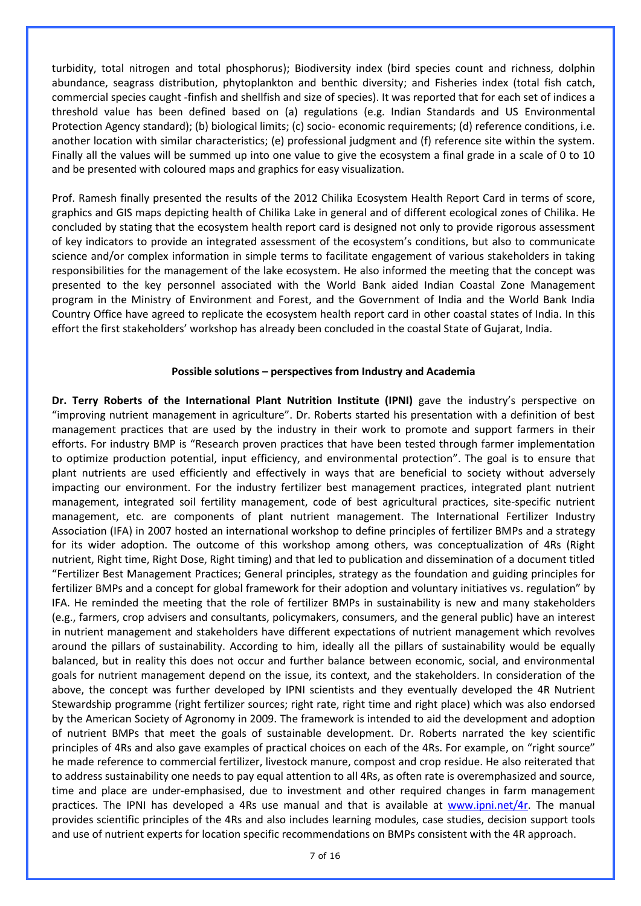turbidity, total nitrogen and total phosphorus); Biodiversity index (bird species count and richness, dolphin abundance, seagrass distribution, phytoplankton and benthic diversity; and Fisheries index (total fish catch, commercial species caught -finfish and shellfish and size of species). It was reported that for each set of indices a threshold value has been defined based on (a) regulations (e.g. Indian Standards and US Environmental Protection Agency standard); (b) biological limits; (c) socio- economic requirements; (d) reference conditions, i.e. another location with similar characteristics; (e) professional judgment and (f) reference site within the system. Finally all the values will be summed up into one value to give the ecosystem a final grade in a scale of 0 to 10 and be presented with coloured maps and graphics for easy visualization.

Prof. Ramesh finally presented the results of the 2012 Chilika Ecosystem Health Report Card in terms of score, graphics and GIS maps depicting health of Chilika Lake in general and of different ecological zones of Chilika. He concluded by stating that the ecosystem health report card is designed not only to provide rigorous assessment of key indicators to provide an integrated assessment of the ecosystem's conditions, but also to communicate science and/or complex information in simple terms to facilitate engagement of various stakeholders in taking responsibilities for the management of the lake ecosystem. He also informed the meeting that the concept was presented to the key personnel associated with the World Bank aided Indian Coastal Zone Management program in the Ministry of Environment and Forest, and the Government of India and the World Bank India Country Office have agreed to replicate the ecosystem health report card in other coastal states of India. In this effort the first stakeholders' workshop has already been concluded in the coastal State of Gujarat, India.

#### **Possible solutions – perspectives from Industry and Academia**

**Dr. Terry Roberts of the International Plant Nutrition Institute (IPNI)** gave the industry's perspective on "improving nutrient management in agriculture". Dr. Roberts started his presentation with a definition of best management practices that are used by the industry in their work to promote and support farmers in their efforts. For industry BMP is "Research proven practices that have been tested through farmer implementation to optimize production potential, input efficiency, and environmental protection". The goal is to ensure that plant nutrients are used efficiently and effectively in ways that are beneficial to society without adversely impacting our environment. For the industry fertilizer best management practices, integrated plant nutrient management, integrated soil fertility management, code of best agricultural practices, site-specific nutrient management, etc. are components of plant nutrient management. The International Fertilizer Industry Association (IFA) in 2007 hosted an international workshop to define principles of fertilizer BMPs and a strategy for its wider adoption. The outcome of this workshop among others, was conceptualization of 4Rs (Right nutrient, Right time, Right Dose, Right timing) and that led to publication and dissemination of a document titled "Fertilizer Best Management Practices; General principles, strategy as the foundation and guiding principles for fertilizer BMPs and a concept for global framework for their adoption and voluntary initiatives vs. regulation" by IFA. He reminded the meeting that the role of fertilizer BMPs in sustainability is new and many stakeholders (e.g., farmers, crop advisers and consultants, policymakers, consumers, and the general public) have an interest in nutrient management and stakeholders have different expectations of nutrient management which revolves around the pillars of sustainability. According to him, ideally all the pillars of sustainability would be equally balanced, but in reality this does not occur and further balance between economic, social, and environmental goals for nutrient management depend on the issue, its context, and the stakeholders. In consideration of the above, the concept was further developed by IPNI scientists and they eventually developed the 4R Nutrient Stewardship programme (right fertilizer sources; right rate, right time and right place) which was also endorsed by the American Society of Agronomy in 2009. The framework is intended to aid the development and adoption of nutrient BMPs that meet the goals of sustainable development. Dr. Roberts narrated the key scientific principles of 4Rs and also gave examples of practical choices on each of the 4Rs. For example, on "right source" he made reference to commercial fertilizer, livestock manure, compost and crop residue. He also reiterated that to address sustainability one needs to pay equal attention to all 4Rs, as often rate is overemphasized and source, time and place are under-emphasised, due to investment and other required changes in farm management practices. The IPNI has developed a 4Rs use manual and that is available at [www.ipni.net/4r.](http://www.ipni.net/4r) The manual provides scientific principles of the 4Rs and also includes learning modules, case studies, decision support tools and use of nutrient experts for location specific recommendations on BMPs consistent with the 4R approach.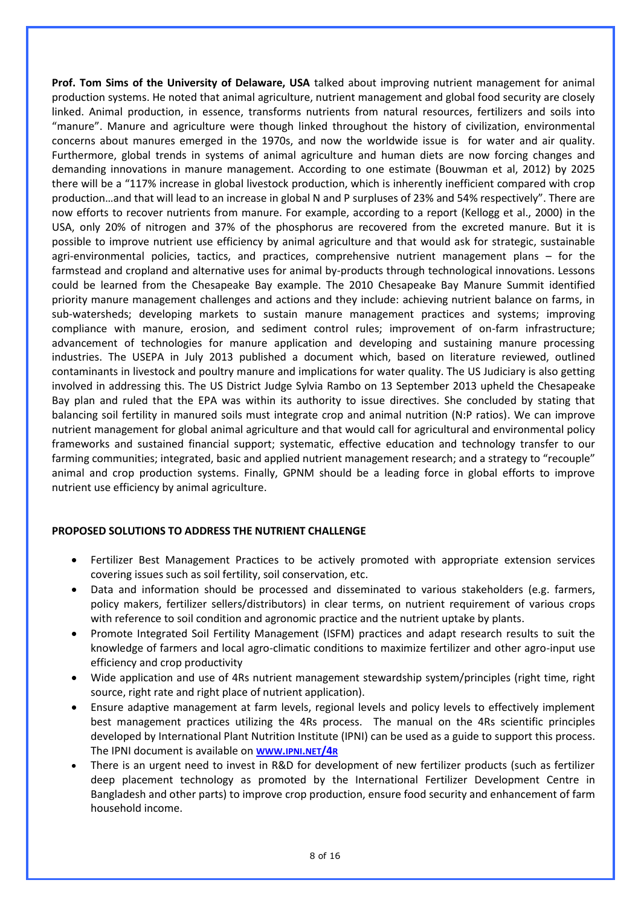**Prof. Tom Sims of the University of Delaware, USA** talked about improving nutrient management for animal production systems. He noted that animal agriculture, nutrient management and global food security are closely linked. Animal production, in essence, transforms nutrients from natural resources, fertilizers and soils into "manure". Manure and agriculture were though linked throughout the history of civilization, environmental concerns about manures emerged in the 1970s, and now the worldwide issue is for water and air quality. Furthermore, global trends in systems of animal agriculture and human diets are now forcing changes and demanding innovations in manure management. According to one estimate (Bouwman et al, 2012) by 2025 there will be a "117% increase in global livestock production, which is inherently inefficient compared with crop production…and that will lead to an increase in global N and P surpluses of 23% and 54% respectively". There are now efforts to recover nutrients from manure. For example, according to a report (Kellogg et al., 2000) in the USA, only 20% of nitrogen and 37% of the phosphorus are recovered from the excreted manure. But it is possible to improve nutrient use efficiency by animal agriculture and that would ask for strategic, sustainable agri-environmental policies, tactics, and practices, comprehensive nutrient management plans – for the farmstead and cropland and alternative uses for animal by-products through technological innovations. Lessons could be learned from the Chesapeake Bay example. The 2010 Chesapeake Bay Manure Summit identified priority manure management challenges and actions and they include: achieving nutrient balance on farms, in sub-watersheds; developing markets to sustain manure management practices and systems; improving compliance with manure, erosion, and sediment control rules; improvement of on-farm infrastructure; advancement of technologies for manure application and developing and sustaining manure processing industries. The USEPA in July 2013 published a document which, based on literature reviewed, outlined contaminants in livestock and poultry manure and implications for water quality. The US Judiciary is also getting involved in addressing this. The US District Judge Sylvia Rambo on 13 September 2013 upheld the Chesapeake Bay plan and ruled that the EPA was within its authority to issue directives. She concluded by stating that balancing soil fertility in manured soils must integrate crop and animal nutrition (N:P ratios). We can improve nutrient management for global animal agriculture and that would call for agricultural and environmental policy frameworks and sustained financial support; systematic, effective education and technology transfer to our farming communities; integrated, basic and applied nutrient management research; and a strategy to "recouple" animal and crop production systems. Finally, GPNM should be a leading force in global efforts to improve nutrient use efficiency by animal agriculture.

#### **PROPOSED SOLUTIONS TO ADDRESS THE NUTRIENT CHALLENGE**

- Fertilizer Best Management Practices to be actively promoted with appropriate extension services covering issues such as soil fertility, soil conservation, etc.
- Data and information should be processed and disseminated to various stakeholders (e.g. farmers, policy makers, fertilizer sellers/distributors) in clear terms, on nutrient requirement of various crops with reference to soil condition and agronomic practice and the nutrient uptake by plants.
- Promote Integrated Soil Fertility Management (ISFM) practices and adapt research results to suit the knowledge of farmers and local agro-climatic conditions to maximize fertilizer and other agro-input use efficiency and crop productivity
- Wide application and use of 4Rs nutrient management stewardship system/principles (right time, right source, right rate and right place of nutrient application).
- Ensure adaptive management at farm levels, regional levels and policy levels to effectively implement best management practices utilizing the 4Rs process. The manual on the 4Rs scientific principles developed by International Plant Nutrition Institute (IPNI) can be used as a guide to support this process. The IPNI document is available on **[WWW](http://www.ipni.net/4r).IPNI.NET/4R**
- There is an urgent need to invest in R&D for development of new fertilizer products (such as fertilizer deep placement technology as promoted by the International Fertilizer Development Centre in Bangladesh and other parts) to improve crop production, ensure food security and enhancement of farm household income.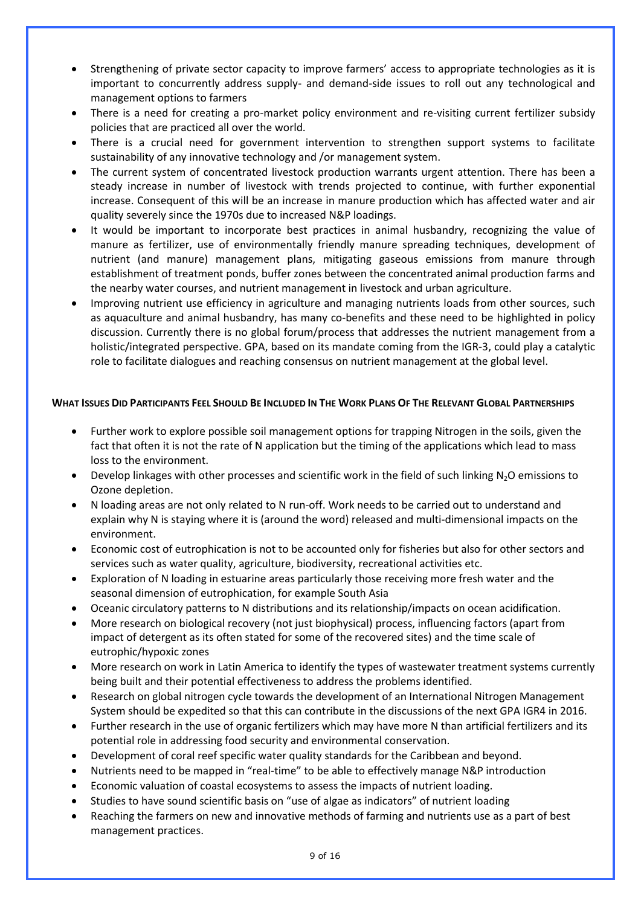- Strengthening of private sector capacity to improve farmers' access to appropriate technologies as it is important to concurrently address supply- and demand-side issues to roll out any technological and management options to farmers
- There is a need for creating a pro-market policy environment and re-visiting current fertilizer subsidy policies that are practiced all over the world.
- There is a crucial need for government intervention to strengthen support systems to facilitate sustainability of any innovative technology and /or management system.
- The current system of concentrated livestock production warrants urgent attention. There has been a steady increase in number of livestock with trends projected to continue, with further exponential increase. Consequent of this will be an increase in manure production which has affected water and air quality severely since the 1970s due to increased N&P loadings.
- It would be important to incorporate best practices in animal husbandry, recognizing the value of manure as fertilizer, use of environmentally friendly manure spreading techniques, development of nutrient (and manure) management plans, mitigating gaseous emissions from manure through establishment of treatment ponds, buffer zones between the concentrated animal production farms and the nearby water courses, and nutrient management in livestock and urban agriculture.
- Improving nutrient use efficiency in agriculture and managing nutrients loads from other sources, such as aquaculture and animal husbandry, has many co-benefits and these need to be highlighted in policy discussion. Currently there is no global forum/process that addresses the nutrient management from a holistic/integrated perspective. GPA, based on its mandate coming from the IGR-3, could play a catalytic role to facilitate dialogues and reaching consensus on nutrient management at the global level.

#### WHAT ISSUES DID PARTICIPANTS FEEL SHOULD BE INCLUDED IN THE WORK PLANS OF THE RELEVANT GLOBAL PARTNERSHIPS

- Further work to explore possible soil management options for trapping Nitrogen in the soils, given the fact that often it is not the rate of N application but the timing of the applications which lead to mass loss to the environment.
- Develop linkages with other processes and scientific work in the field of such linking  $N_2O$  emissions to Ozone depletion.
- N loading areas are not only related to N run-off. Work needs to be carried out to understand and explain why N is staying where it is (around the word) released and multi-dimensional impacts on the environment.
- Economic cost of eutrophication is not to be accounted only for fisheries but also for other sectors and services such as water quality, agriculture, biodiversity, recreational activities etc.
- Exploration of N loading in estuarine areas particularly those receiving more fresh water and the seasonal dimension of eutrophication, for example South Asia
- Oceanic circulatory patterns to N distributions and its relationship/impacts on ocean acidification.
- More research on biological recovery (not just biophysical) process, influencing factors (apart from impact of detergent as its often stated for some of the recovered sites) and the time scale of eutrophic/hypoxic zones
- More research on work in Latin America to identify the types of wastewater treatment systems currently being built and their potential effectiveness to address the problems identified.
- Research on global nitrogen cycle towards the development of an International Nitrogen Management System should be expedited so that this can contribute in the discussions of the next GPA IGR4 in 2016.
- Further research in the use of organic fertilizers which may have more N than artificial fertilizers and its potential role in addressing food security and environmental conservation.
- Development of coral reef specific water quality standards for the Caribbean and beyond.
- Nutrients need to be mapped in "real-time" to be able to effectively manage N&P introduction
- Economic valuation of coastal ecosystems to assess the impacts of nutrient loading.
- Studies to have sound scientific basis on "use of algae as indicators" of nutrient loading
- Reaching the farmers on new and innovative methods of farming and nutrients use as a part of best management practices.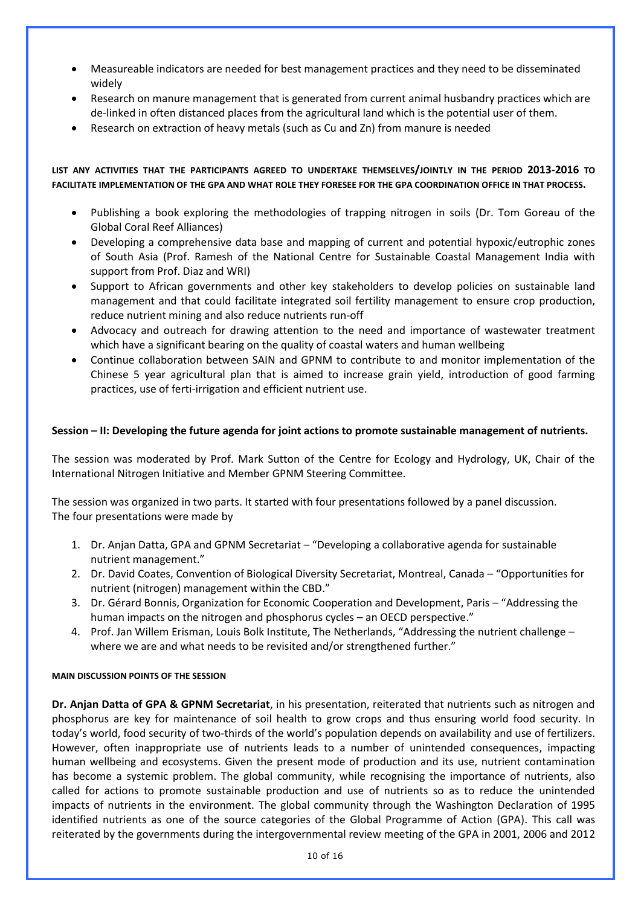- Measureable indicators are needed for best management practices and they need to be disseminated widely
- Research on manure management that is generated from current animal husbandry practices which are de-linked in often distanced places from the agricultural land which is the potential user of them.
- Research on extraction of heavy metals (such as Cu and Zn) from manure is needed

#### **LIST ANY ACTIVITIES THAT THE PARTICIPANTS AGREED TO UNDERTAKE THEMSELVES/JOINTLY IN THE PERIOD 2013-2016 TO FACILITATE IMPLEMENTATION OF THE GPA AND WHAT ROLE THEY FORESEE FOR THE GPA COORDINATION OFFICE IN THAT PROCESS.**

- Publishing a book exploring the methodologies of trapping nitrogen in soils (Dr. Tom Goreau of the Global Coral Reef Alliances)
- Developing a comprehensive data base and mapping of current and potential hypoxic/eutrophic zones of South Asia (Prof. Ramesh of the National Centre for Sustainable Coastal Management India with support from Prof. Diaz and WRI)
- Support to African governments and other key stakeholders to develop policies on sustainable land management and that could facilitate integrated soil fertility management to ensure crop production, reduce nutrient mining and also reduce nutrients run-off
- Advocacy and outreach for drawing attention to the need and importance of wastewater treatment which have a significant bearing on the quality of coastal waters and human wellbeing
- Continue collaboration between SAIN and GPNM to contribute to and monitor implementation of the Chinese 5 year agricultural plan that is aimed to increase grain yield, introduction of good farming practices, use of ferti-irrigation and efficient nutrient use.

#### **Session – II: Developing the future agenda for joint actions to promote sustainable management of nutrients.**

The session was moderated by Prof. Mark Sutton of the Centre for Ecology and Hydrology, UK, Chair of the International Nitrogen Initiative and Member GPNM Steering Committee.

The session was organized in two parts. It started with four presentations followed by a panel discussion. The four presentations were made by

- 1. Dr. Anjan Datta, GPA and GPNM Secretariat "Developing a collaborative agenda for sustainable nutrient management."
- 2. Dr. David Coates, Convention of Biological Diversity Secretariat, Montreal, Canada "Opportunities for nutrient (nitrogen) management within the CBD."
- 3. Dr. Gérard Bonnis, Organization for Economic Cooperation and Development, Paris "Addressing the human impacts on the nitrogen and phosphorus cycles – an OECD perspective."
- 4. Prof. Jan Willem Erisman, Louis Bolk Institute, The Netherlands, "Addressing the nutrient challenge where we are and what needs to be revisited and/or strengthened further."

#### **MAIN DISCUSSION POINTS OF THE SESSION**

**Dr. Anjan Datta of GPA & GPNM Secretariat**, in his presentation, reiterated that nutrients such as nitrogen and phosphorus are key for maintenance of soil health to grow crops and thus ensuring world food security. In today's world, food security of two-thirds of the world's population depends on availability and use of fertilizers. However, often inappropriate use of nutrients leads to a number of unintended consequences, impacting human wellbeing and ecosystems. Given the present mode of production and its use, nutrient contamination has become a systemic problem. The global community, while recognising the importance of nutrients, also called for actions to promote sustainable production and use of nutrients so as to reduce the unintended impacts of nutrients in the environment. The global community through the Washington Declaration of 1995 identified nutrients as one of the source categories of the Global Programme of Action (GPA). This call was reiterated by the governments during the intergovernmental review meeting of the GPA in 2001, 2006 and 2012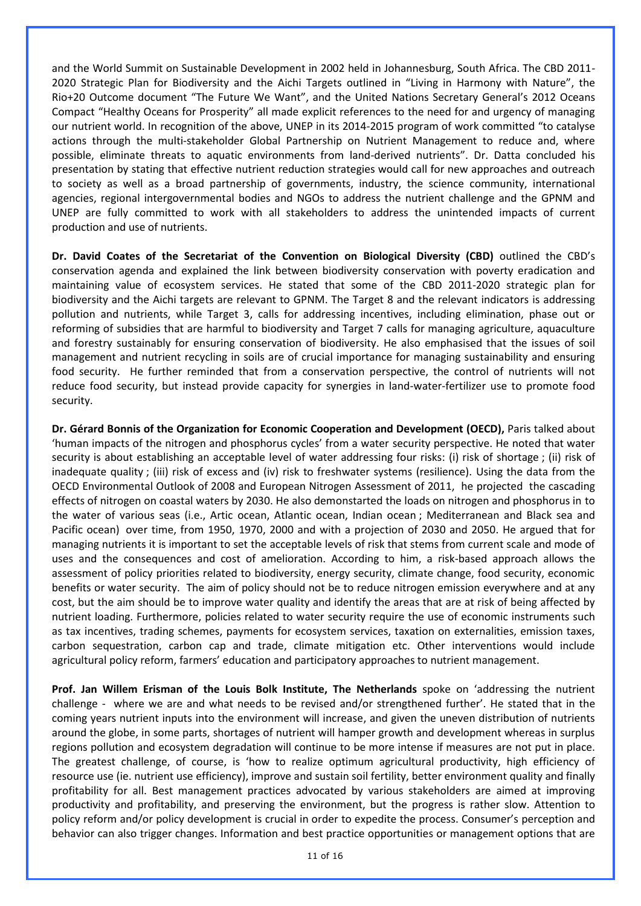and the World Summit on Sustainable Development in 2002 held in Johannesburg, South Africa. The CBD 2011- 2020 Strategic Plan for Biodiversity and the Aichi Targets outlined in "Living in Harmony with Nature", the Rio+20 Outcome document "The Future We Want", and the United Nations Secretary General's 2012 Oceans Compact "Healthy Oceans for Prosperity" all made explicit references to the need for and urgency of managing our nutrient world. In recognition of the above, UNEP in its 2014-2015 program of work committed "to catalyse actions through the multi-stakeholder Global Partnership on Nutrient Management to reduce and, where possible, eliminate threats to aquatic environments from land-derived nutrients". Dr. Datta concluded his presentation by stating that effective nutrient reduction strategies would call for new approaches and outreach to society as well as a broad partnership of governments, industry, the science community, international agencies, regional intergovernmental bodies and NGOs to address the nutrient challenge and the GPNM and UNEP are fully committed to work with all stakeholders to address the unintended impacts of current production and use of nutrients.

**Dr. David Coates of the Secretariat of the Convention on Biological Diversity (CBD)** outlined the CBD's conservation agenda and explained the link between biodiversity conservation with poverty eradication and maintaining value of ecosystem services. He stated that some of the CBD 2011-2020 strategic plan for biodiversity and the Aichi targets are relevant to GPNM. The Target 8 and the relevant indicators is addressing pollution and nutrients, while Target 3, calls for addressing incentives, including elimination, phase out or reforming of subsidies that are harmful to biodiversity and Target 7 calls for managing agriculture, aquaculture and forestry sustainably for ensuring conservation of biodiversity. He also emphasised that the issues of soil management and nutrient recycling in soils are of crucial importance for managing sustainability and ensuring food security. He further reminded that from a conservation perspective, the control of nutrients will not reduce food security, but instead provide capacity for synergies in land-water-fertilizer use to promote food security.

**Dr. Gérard Bonnis of the Organization for Economic Cooperation and Development (OECD),** Paris talked about 'human impacts of the nitrogen and phosphorus cycles' from a water security perspective. He noted that water security is about establishing an acceptable level of water addressing four risks: (i) risk of shortage ; (ii) risk of inadequate quality ; (iii) risk of excess and (iv) risk to freshwater systems (resilience). Using the data from the OECD Environmental Outlook of 2008 and European Nitrogen Assessment of 2011, he projected the cascading effects of nitrogen on coastal waters by 2030. He also demonstarted the loads on nitrogen and phosphorus in to the water of various seas (i.e., Artic ocean, Atlantic ocean, Indian ocean ; Mediterranean and Black sea and Pacific ocean) over time, from 1950, 1970, 2000 and with a projection of 2030 and 2050. He argued that for managing nutrients it is important to set the acceptable levels of risk that stems from current scale and mode of uses and the consequences and cost of amelioration. According to him, a risk-based approach allows the assessment of policy priorities related to biodiversity, energy security, climate change, food security, economic benefits or water security. The aim of policy should not be to reduce nitrogen emission everywhere and at any cost, but the aim should be to improve water quality and identify the areas that are at risk of being affected by nutrient loading. Furthermore, policies related to water security require the use of economic instruments such as tax incentives, trading schemes, payments for ecosystem services, taxation on externalities, emission taxes, carbon sequestration, carbon cap and trade, climate mitigation etc. Other interventions would include agricultural policy reform, farmers' education and participatory approaches to nutrient management.

**Prof. Jan Willem Erisman of the Louis Bolk Institute, The Netherlands** spoke on 'addressing the nutrient challenge - where we are and what needs to be revised and/or strengthened further'. He stated that in the coming years nutrient inputs into the environment will increase, and given the uneven distribution of nutrients around the globe, in some parts, shortages of nutrient will hamper growth and development whereas in surplus regions pollution and ecosystem degradation will continue to be more intense if measures are not put in place. The greatest challenge, of course, is 'how to realize optimum agricultural productivity, high efficiency of resource use (ie. nutrient use efficiency), improve and sustain soil fertility, better environment quality and finally profitability for all. Best management practices advocated by various stakeholders are aimed at improving productivity and profitability, and preserving the environment, but the progress is rather slow. Attention to policy reform and/or policy development is crucial in order to expedite the process. Consumer's perception and behavior can also trigger changes. Information and best practice opportunities or management options that are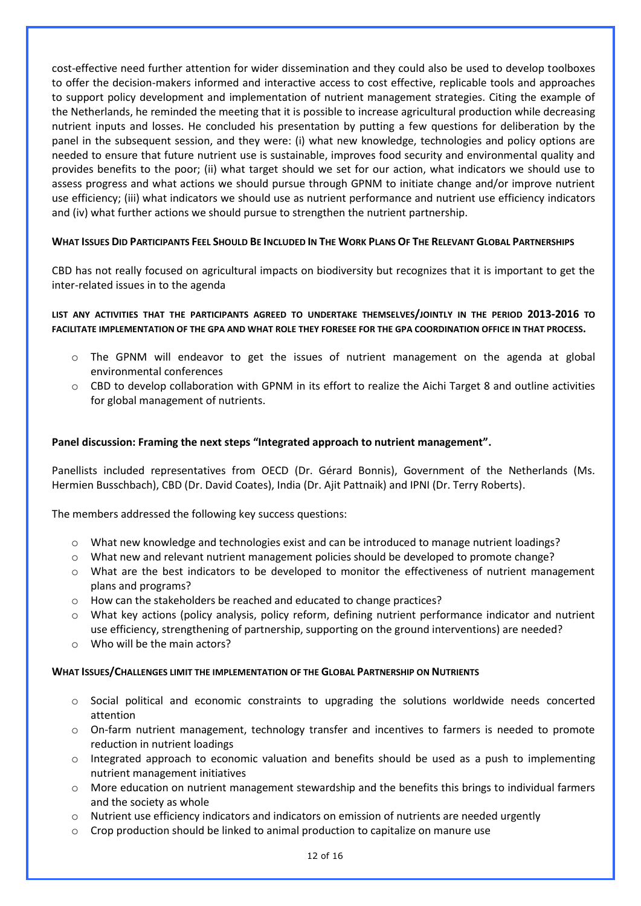cost-effective need further attention for wider dissemination and they could also be used to develop toolboxes to offer the decision-makers informed and interactive access to cost effective, replicable tools and approaches to support policy development and implementation of nutrient management strategies. Citing the example of the Netherlands, he reminded the meeting that it is possible to increase agricultural production while decreasing nutrient inputs and losses. He concluded his presentation by putting a few questions for deliberation by the panel in the subsequent session, and they were: (i) what new knowledge, technologies and policy options are needed to ensure that future nutrient use is sustainable, improves food security and environmental quality and provides benefits to the poor; (ii) what target should we set for our action, what indicators we should use to assess progress and what actions we should pursue through GPNM to initiate change and/or improve nutrient use efficiency; (iii) what indicators we should use as nutrient performance and nutrient use efficiency indicators and (iv) what further actions we should pursue to strengthen the nutrient partnership.

#### WHAT ISSUES DID PARTICIPANTS FEEL SHOULD BE INCLUDED IN THE WORK PLANS OF THE RELEVANT GLOBAL PARTNERSHIPS

CBD has not really focused on agricultural impacts on biodiversity but recognizes that it is important to get the inter-related issues in to the agenda

#### **LIST ANY ACTIVITIES THAT THE PARTICIPANTS AGREED TO UNDERTAKE THEMSELVES/JOINTLY IN THE PERIOD 2013-2016 TO FACILITATE IMPLEMENTATION OF THE GPA AND WHAT ROLE THEY FORESEE FOR THE GPA COORDINATION OFFICE IN THAT PROCESS.**

- o The GPNM will endeavor to get the issues of nutrient management on the agenda at global environmental conferences
- $\circ$  CBD to develop collaboration with GPNM in its effort to realize the Aichi Target 8 and outline activities for global management of nutrients.

#### **Panel discussion: Framing the next steps "Integrated approach to nutrient management".**

Panellists included representatives from OECD (Dr. Gérard Bonnis), Government of the Netherlands (Ms. Hermien Busschbach), CBD (Dr. David Coates), India (Dr. Ajit Pattnaik) and IPNI (Dr. Terry Roberts).

The members addressed the following key success questions:

- o What new knowledge and technologies exist and can be introduced to manage nutrient loadings?
- o What new and relevant nutrient management policies should be developed to promote change?
- o What are the best indicators to be developed to monitor the effectiveness of nutrient management plans and programs?
- $\circ$  How can the stakeholders be reached and educated to change practices?
- o What key actions (policy analysis, policy reform, defining nutrient performance indicator and nutrient use efficiency, strengthening of partnership, supporting on the ground interventions) are needed?
- $\circ$  Who will be the main actors?

#### **WHAT ISSUES/CHALLENGES LIMIT THE IMPLEMENTATION OF THE GLOBAL PARTNERSHIP ON NUTRIENTS**

- o Social political and economic constraints to upgrading the solutions worldwide needs concerted attention
- $\circ$  On-farm nutrient management, technology transfer and incentives to farmers is needed to promote reduction in nutrient loadings
- o Integrated approach to economic valuation and benefits should be used as a push to implementing nutrient management initiatives
- o More education on nutrient management stewardship and the benefits this brings to individual farmers and the society as whole
- o Nutrient use efficiency indicators and indicators on emission of nutrients are needed urgently
- $\circ$  Crop production should be linked to animal production to capitalize on manure use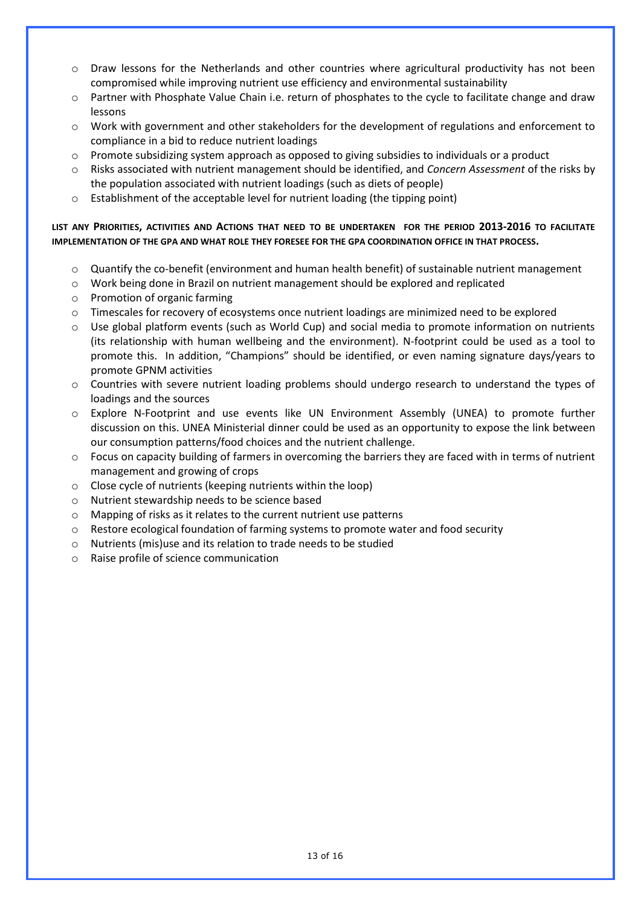- $\circ$  Draw lessons for the Netherlands and other countries where agricultural productivity has not been compromised while improving nutrient use efficiency and environmental sustainability
- o Partner with Phosphate Value Chain i.e. return of phosphates to the cycle to facilitate change and draw lessons
- $\circ$  Work with government and other stakeholders for the development of regulations and enforcement to compliance in a bid to reduce nutrient loadings
- o Promote subsidizing system approach as opposed to giving subsidies to individuals or a product
- o Risks associated with nutrient management should be identified, and *Concern Assessment* of the risks by the population associated with nutrient loadings (such as diets of people)
- o Establishment of the acceptable level for nutrient loading (the tipping point)

#### **LIST ANY PRIORITIES, ACTIVITIES AND ACTIONS THAT NEED TO BE UNDERTAKEN FOR THE PERIOD 2013-2016 TO FACILITATE IMPLEMENTATION OF THE GPA AND WHAT ROLE THEY FORESEE FOR THE GPA COORDINATION OFFICE IN THAT PROCESS.**

- o Quantify the co-benefit (environment and human health benefit) of sustainable nutrient management
- o Work being done in Brazil on nutrient management should be explored and replicated
- o Promotion of organic farming
- $\circ$  Timescales for recovery of ecosystems once nutrient loadings are minimized need to be explored
- o Use global platform events (such as World Cup) and social media to promote information on nutrients (its relationship with human wellbeing and the environment). N-footprint could be used as a tool to promote this. In addition, "Champions" should be identified, or even naming signature days/years to promote GPNM activities
- $\circ$  Countries with severe nutrient loading problems should undergo research to understand the types of loadings and the sources
- o Explore N-Footprint and use events like UN Environment Assembly (UNEA) to promote further discussion on this. UNEA Ministerial dinner could be used as an opportunity to expose the link between our consumption patterns/food choices and the nutrient challenge.
- o Focus on capacity building of farmers in overcoming the barriers they are faced with in terms of nutrient management and growing of crops
- o Close cycle of nutrients (keeping nutrients within the loop)
- o Nutrient stewardship needs to be science based
- o Mapping of risks as it relates to the current nutrient use patterns
- $\circ$  Restore ecological foundation of farming systems to promote water and food security
- o Nutrients (mis)use and its relation to trade needs to be studied
- o Raise profile of science communication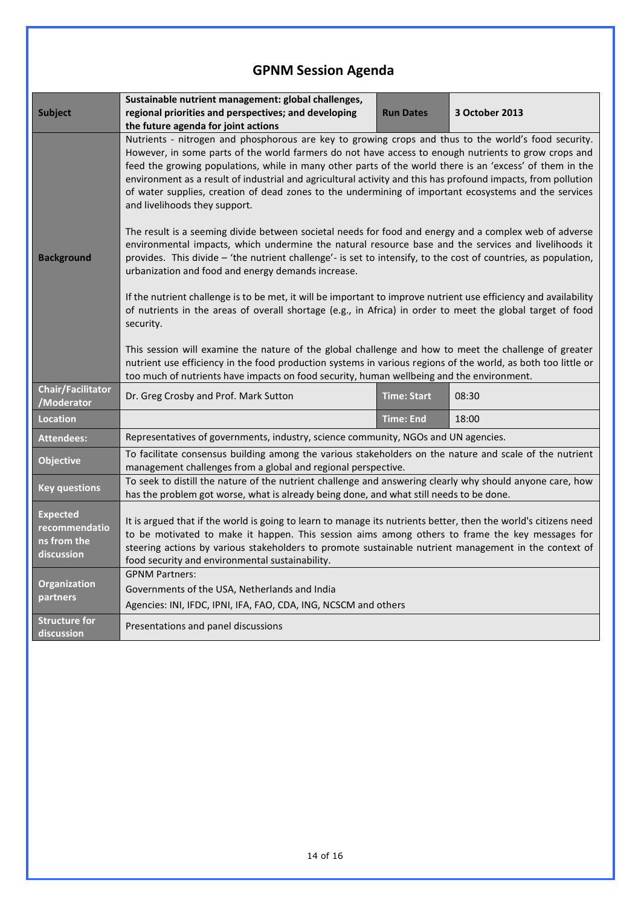# **GPNM Session Agenda**

| <b>Subject</b>                                                | Sustainable nutrient management: global challenges,<br>regional priorities and perspectives; and developing<br>the future agenda for joint actions                                                                                                                                                                                                                                                                                                                                                                                                                                                                                                                                            | <b>Run Dates</b>   | 3 October 2013 |  |
|---------------------------------------------------------------|-----------------------------------------------------------------------------------------------------------------------------------------------------------------------------------------------------------------------------------------------------------------------------------------------------------------------------------------------------------------------------------------------------------------------------------------------------------------------------------------------------------------------------------------------------------------------------------------------------------------------------------------------------------------------------------------------|--------------------|----------------|--|
|                                                               | Nutrients - nitrogen and phosphorous are key to growing crops and thus to the world's food security.<br>However, in some parts of the world farmers do not have access to enough nutrients to grow crops and<br>feed the growing populations, while in many other parts of the world there is an 'excess' of them in the<br>environment as a result of industrial and agricultural activity and this has profound impacts, from pollution<br>of water supplies, creation of dead zones to the undermining of important ecosystems and the services<br>and livelihoods they support.<br>The result is a seeming divide between societal needs for food and energy and a complex web of adverse |                    |                |  |
| <b>Background</b>                                             | environmental impacts, which undermine the natural resource base and the services and livelihoods it<br>provides. This divide - 'the nutrient challenge'- is set to intensify, to the cost of countries, as population,<br>urbanization and food and energy demands increase.                                                                                                                                                                                                                                                                                                                                                                                                                 |                    |                |  |
|                                                               | If the nutrient challenge is to be met, it will be important to improve nutrient use efficiency and availability<br>of nutrients in the areas of overall shortage (e.g., in Africa) in order to meet the global target of food<br>security.                                                                                                                                                                                                                                                                                                                                                                                                                                                   |                    |                |  |
|                                                               | This session will examine the nature of the global challenge and how to meet the challenge of greater<br>nutrient use efficiency in the food production systems in various regions of the world, as both too little or<br>too much of nutrients have impacts on food security, human wellbeing and the environment.                                                                                                                                                                                                                                                                                                                                                                           |                    |                |  |
| <b>Chair/Facilitator</b><br>/Moderator                        | Dr. Greg Crosby and Prof. Mark Sutton                                                                                                                                                                                                                                                                                                                                                                                                                                                                                                                                                                                                                                                         | <b>Time: Start</b> | 08:30          |  |
| <b>Location</b>                                               |                                                                                                                                                                                                                                                                                                                                                                                                                                                                                                                                                                                                                                                                                               | <b>Time: End</b>   | 18:00          |  |
| <b>Attendees:</b>                                             | Representatives of governments, industry, science community, NGOs and UN agencies.                                                                                                                                                                                                                                                                                                                                                                                                                                                                                                                                                                                                            |                    |                |  |
| <b>Objective</b>                                              | To facilitate consensus building among the various stakeholders on the nature and scale of the nutrient<br>management challenges from a global and regional perspective.                                                                                                                                                                                                                                                                                                                                                                                                                                                                                                                      |                    |                |  |
| <b>Key questions</b>                                          | To seek to distill the nature of the nutrient challenge and answering clearly why should anyone care, how<br>has the problem got worse, what is already being done, and what still needs to be done.                                                                                                                                                                                                                                                                                                                                                                                                                                                                                          |                    |                |  |
| <b>Expected</b><br>recommendatio<br>ns from the<br>discussion | It is argued that if the world is going to learn to manage its nutrients better, then the world's citizens need<br>to be motivated to make it happen. This session aims among others to frame the key messages for<br>steering actions by various stakeholders to promote sustainable nutrient management in the context of<br>food security and environmental sustainability.                                                                                                                                                                                                                                                                                                                |                    |                |  |
| Organization<br>partners                                      | <b>GPNM Partners:</b><br>Governments of the USA, Netherlands and India<br>Agencies: INI, IFDC, IPNI, IFA, FAO, CDA, ING, NCSCM and others                                                                                                                                                                                                                                                                                                                                                                                                                                                                                                                                                     |                    |                |  |
| <b>Structure for</b><br>discussion                            | Presentations and panel discussions                                                                                                                                                                                                                                                                                                                                                                                                                                                                                                                                                                                                                                                           |                    |                |  |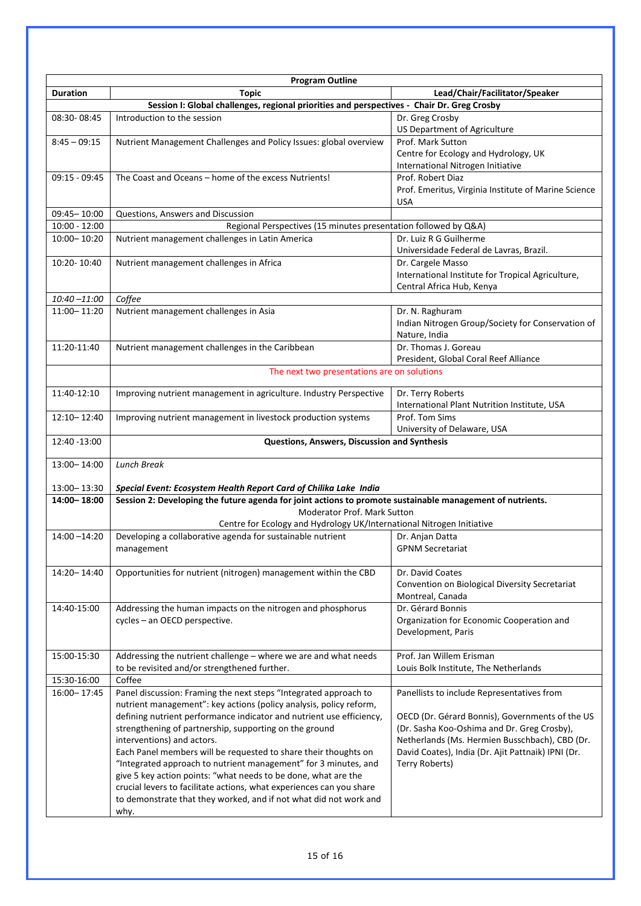| <b>Program Outline</b>                                                                     |                                                                                                           |                                                                           |  |  |  |
|--------------------------------------------------------------------------------------------|-----------------------------------------------------------------------------------------------------------|---------------------------------------------------------------------------|--|--|--|
| <b>Duration</b>                                                                            | <b>Topic</b>                                                                                              | Lead/Chair/Facilitator/Speaker                                            |  |  |  |
| Session I: Global challenges, regional priorities and perspectives - Chair Dr. Greg Crosby |                                                                                                           |                                                                           |  |  |  |
| 08:30-08:45                                                                                | Introduction to the session                                                                               | Dr. Greg Crosby                                                           |  |  |  |
|                                                                                            |                                                                                                           | <b>US Department of Agriculture</b>                                       |  |  |  |
| $8:45 - 09:15$                                                                             | Nutrient Management Challenges and Policy Issues: global overview                                         | Prof. Mark Sutton                                                         |  |  |  |
|                                                                                            |                                                                                                           | Centre for Ecology and Hydrology, UK<br>International Nitrogen Initiative |  |  |  |
| $09:15 - 09:45$                                                                            | The Coast and Oceans - home of the excess Nutrients!                                                      | Prof. Robert Diaz                                                         |  |  |  |
|                                                                                            |                                                                                                           | Prof. Emeritus, Virginia Institute of Marine Science                      |  |  |  |
|                                                                                            |                                                                                                           | USA                                                                       |  |  |  |
| 09:45-10:00                                                                                | Questions, Answers and Discussion                                                                         |                                                                           |  |  |  |
| $10:00 - 12:00$                                                                            |                                                                                                           | Regional Perspectives (15 minutes presentation followed by Q&A)           |  |  |  |
| 10:00-10:20                                                                                | Nutrient management challenges in Latin America                                                           | Dr. Luiz R G Guilherme                                                    |  |  |  |
|                                                                                            |                                                                                                           | Universidade Federal de Lavras, Brazil.                                   |  |  |  |
| 10:20-10:40                                                                                | Nutrient management challenges in Africa                                                                  | Dr. Cargele Masso                                                         |  |  |  |
|                                                                                            |                                                                                                           | International Institute for Tropical Agriculture,                         |  |  |  |
|                                                                                            | Central Africa Hub, Kenya                                                                                 |                                                                           |  |  |  |
| $10:40 - 11:00$                                                                            | Coffee                                                                                                    |                                                                           |  |  |  |
| 11:00-11:20                                                                                | Nutrient management challenges in Asia                                                                    | Dr. N. Raghuram<br>Indian Nitrogen Group/Society for Conservation of      |  |  |  |
|                                                                                            |                                                                                                           | Nature, India                                                             |  |  |  |
| 11:20-11:40                                                                                | Nutrient management challenges in the Caribbean                                                           | Dr. Thomas J. Goreau                                                      |  |  |  |
|                                                                                            |                                                                                                           | President, Global Coral Reef Alliance                                     |  |  |  |
|                                                                                            | The next two presentations are on solutions                                                               |                                                                           |  |  |  |
|                                                                                            |                                                                                                           |                                                                           |  |  |  |
| 11:40-12:10                                                                                | Improving nutrient management in agriculture. Industry Perspective                                        | Dr. Terry Roberts                                                         |  |  |  |
|                                                                                            |                                                                                                           | International Plant Nutrition Institute, USA                              |  |  |  |
| 12:10-12:40                                                                                | Improving nutrient management in livestock production systems                                             | Prof. Tom Sims                                                            |  |  |  |
|                                                                                            |                                                                                                           | University of Delaware, USA                                               |  |  |  |
| 12:40 -13:00                                                                               | Questions, Answers, Discussion and Synthesis                                                              |                                                                           |  |  |  |
| 13:00-14:00                                                                                | <b>Lunch Break</b>                                                                                        |                                                                           |  |  |  |
|                                                                                            |                                                                                                           |                                                                           |  |  |  |
| 13:00 - 13:30                                                                              | Special Event: Ecosystem Health Report Card of Chilika Lake India                                         |                                                                           |  |  |  |
| 14:00-18:00                                                                                | Session 2: Developing the future agenda for joint actions to promote sustainable management of nutrients. |                                                                           |  |  |  |
|                                                                                            | Moderator Prof. Mark Sutton                                                                               |                                                                           |  |  |  |
|                                                                                            | Centre for Ecology and Hydrology UK/International Nitrogen Initiative                                     |                                                                           |  |  |  |
| $14:00 - 14:20$                                                                            | Developing a collaborative agenda for sustainable nutrient                                                | Dr. Anjan Datta<br><b>GPNM Secretariat</b>                                |  |  |  |
|                                                                                            | management                                                                                                |                                                                           |  |  |  |
| 14:20-14:40                                                                                | Opportunities for nutrient (nitrogen) management within the CBD                                           | Dr. David Coates                                                          |  |  |  |
|                                                                                            |                                                                                                           | Convention on Biological Diversity Secretariat                            |  |  |  |
|                                                                                            |                                                                                                           | Montreal, Canada                                                          |  |  |  |
| 14:40-15:00                                                                                | Addressing the human impacts on the nitrogen and phosphorus                                               | Dr. Gérard Bonnis                                                         |  |  |  |
|                                                                                            | cycles - an OECD perspective.                                                                             | Organization for Economic Cooperation and                                 |  |  |  |
|                                                                                            |                                                                                                           | Development, Paris                                                        |  |  |  |
|                                                                                            |                                                                                                           |                                                                           |  |  |  |
| 15:00-15:30                                                                                | Addressing the nutrient challenge - where we are and what needs                                           | Prof. Jan Willem Erisman                                                  |  |  |  |
|                                                                                            | to be revisited and/or strengthened further.                                                              | Louis Bolk Institute, The Netherlands                                     |  |  |  |
| 15:30-16:00<br>$16:00 - 17:45$                                                             | Coffee<br>Panel discussion: Framing the next steps "Integrated approach to                                |                                                                           |  |  |  |
|                                                                                            | nutrient management": key actions (policy analysis, policy reform,                                        | Panellists to include Representatives from                                |  |  |  |
|                                                                                            | defining nutrient performance indicator and nutrient use efficiency,                                      | OECD (Dr. Gérard Bonnis), Governments of the US                           |  |  |  |
|                                                                                            | strengthening of partnership, supporting on the ground                                                    | (Dr. Sasha Koo-Oshima and Dr. Greg Crosby),                               |  |  |  |
|                                                                                            | interventions) and actors.                                                                                | Netherlands (Ms. Hermien Busschbach), CBD (Dr.                            |  |  |  |
|                                                                                            | Each Panel members will be requested to share their thoughts on                                           | David Coates), India (Dr. Ajit Pattnaik) IPNI (Dr.                        |  |  |  |
|                                                                                            | "Integrated approach to nutrient management" for 3 minutes, and                                           | Terry Roberts)                                                            |  |  |  |
|                                                                                            | give 5 key action points: "what needs to be done, what are the                                            |                                                                           |  |  |  |
|                                                                                            | crucial levers to facilitate actions, what experiences can you share                                      |                                                                           |  |  |  |
|                                                                                            | to demonstrate that they worked, and if not what did not work and                                         |                                                                           |  |  |  |
|                                                                                            | why.                                                                                                      |                                                                           |  |  |  |